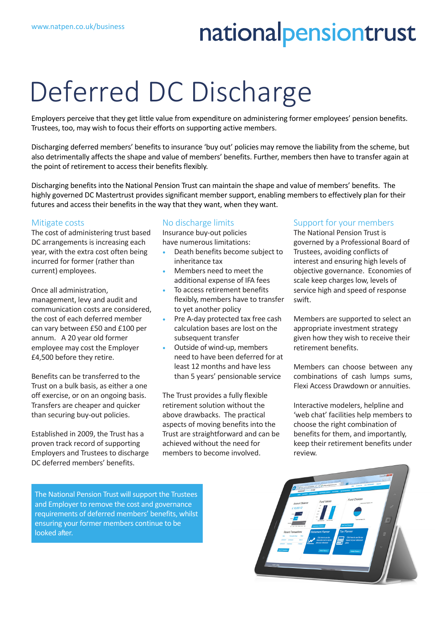## nationalpensiontrust

# Deferred DC Discharge

Employers perceive that they get little value from expenditure on administering former employees' pension benefits. Trustees, too, may wish to focus their efforts on supporting active members.

Discharging deferred members' benefits to insurance 'buy out' policies may remove the liability from the scheme, but also detrimentally affects the shape and value of members' benefits. Further, members then have to transfer again at the point of retirement to access their benefits flexibly.

Discharging benefits into the National Pension Trust can maintain the shape and value of members' benefits. The highly governed DC Mastertrust provides significant member support, enabling members to effectively plan for their futures and access their benefits in the way that they want, when they want.

#### Mitigate costs

The cost of administering trust based DC arrangements is increasing each year, with the extra cost often being incurred for former (rather than current) employees.

Once all administration, management, levy and audit and communication costs are considered, the cost of each deferred member can vary between £50 and £100 per annum. A 20 year old former employee may cost the Employer £4,500 before they retire.

Benefits can be transferred to the Trust on a bulk basis, as either a one off exercise, or on an ongoing basis. Transfers are cheaper and quicker than securing buy-out policies.

Established in 2009, the Trust has a proven track record of supporting Employers and Trustees to discharge DC deferred members' benefits.

#### No discharge limits

Insurance buy-out policies have numerous limitations:

- Death benefits become subject to inheritance tax
- Members need to meet the additional expense of IFA fees
- To access retirement benefits flexibly, members have to transfer to yet another policy
- Pre A-day protected tax free cash calculation bases are lost on the subsequent transfer
- Outside of wind-up, members need to have been deferred for at least 12 months and have less than 5 years' pensionable service

The Trust provides a fully flexible retirement solution without the above drawbacks. The practical aspects of moving benefits into the Trust are straightforward and can be achieved without the need for members to become involved.

### Support for your members

The National Pension Trust is governed by a Professional Board of Trustees, avoiding conflicts of interest and ensuring high levels of objective governance. Economies of scale keep charges low, levels of service high and speed of response swift.

Members are supported to select an appropriate investment strategy given how they wish to receive their retirement benefits.

Members can choose between any combinations of cash lumps sums, Flexi Access Drawdown or annuities.

Interactive modelers, helpline and 'web chat' facilities help members to choose the right combination of benefits for them, and importantly, keep their retirement benefits under review.

The National Pension Trust will support the Trustees and Employer to remove the cost and governance requirements of deferred members' benefits, whilst ensuring your former members continue to be looked after.